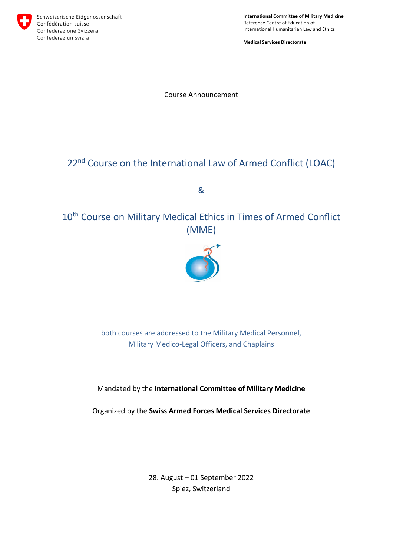

**International Committee of Military Medicine** Reference Centre of Education of International Humanitarian Law and Ethics

**Medical Services Directorate**

Course Announcement

# 22<sup>nd</sup> Course on the International Law of Armed Conflict (LOAC)

&

10<sup>th</sup> Course on Military Medical Ethics in Times of Armed Conflict (MME)



both courses are addressed to the Military Medical Personnel, Military Medico-Legal Officers, and Chaplains

Mandated by the **International Committee of Military Medicine**

Organized by the **Swiss Armed Forces Medical Services Directorate**

28. August – 01 September 2022 Spiez, Switzerland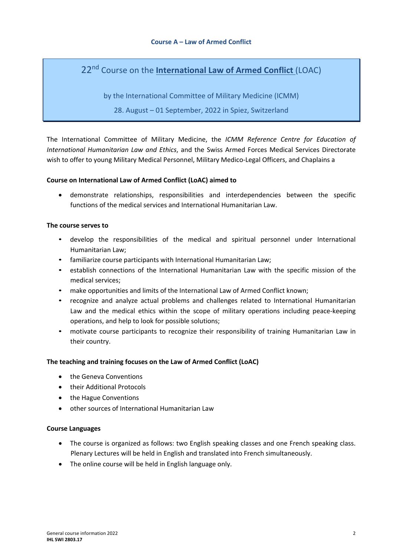# 22nd Course on the **International Law of Armed Conflict** (LOAC)

by the International Committee of Military Medicine (ICMM)

28. August – 01 September, 2022 in Spiez, Switzerland

The International Committee of Military Medicine, the *ICMM Reference Centre for Education of International Humanitarian Law and Ethics*, and the Swiss Armed Forces Medical Services Directorate wish to offer to young Military Medical Personnel, Military Medico-Legal Officers, and Chaplains a

# **Course on International Law of Armed Conflict (LoAC) aimed to**

• demonstrate relationships, responsibilities and interdependencies between the specific functions of the medical services and International Humanitarian Law.

#### **The course serves to**

- develop the responsibilities of the medical and spiritual personnel under International Humanitarian Law;
- familiarize course participants with International Humanitarian Law;
- establish connections of the International Humanitarian Law with the specific mission of the medical services;
- make opportunities and limits of the International Law of Armed Conflict known;
- recognize and analyze actual problems and challenges related to International Humanitarian Law and the medical ethics within the scope of military operations including peace-keeping operations, and help to look for possible solutions;
- motivate course participants to recognize their responsibility of training Humanitarian Law in their country.

# **The teaching and training focuses on the Law of Armed Conflict (LoAC)**

- the Geneva Conventions
- their Additional Protocols
- the Hague Conventions
- other sources of International Humanitarian Law

#### **Course Languages**

- The course is organized as follows: two English speaking classes and one French speaking class. Plenary Lectures will be held in English and translated into French simultaneously.
- The online course will be held in English language only.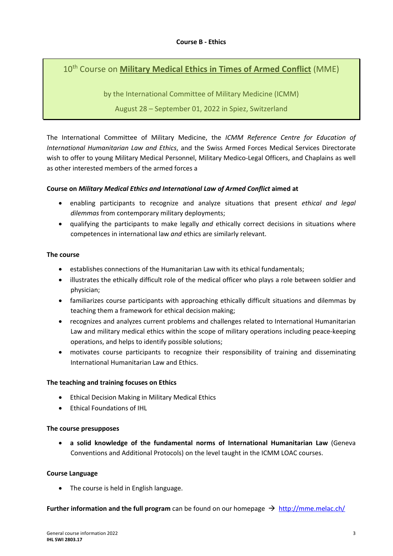# 10th Course on **Military Medical Ethics in Times of Armed Conflict** (MME)

by the International Committee of Military Medicine (ICMM)

# August 28 – September 01, 2022 in Spiez, Switzerland

The International Committee of Military Medicine, the *ICMM Reference Centre for Education of International Humanitarian Law and Ethics*, and the Swiss Armed Forces Medical Services Directorate wish to offer to young Military Medical Personnel, Military Medico-Legal Officers, and Chaplains as well as other interested members of the armed forces a

# **Course on** *Military Medical Ethics and International Law of Armed Conflict* **aimed at**

- enabling participants to recognize and analyze situations that present *ethical and legal dilemmas* from contemporary military deployments;
- qualifying the participants to make legally *and* ethically correct decisions in situations where competences in international law *and* ethics are similarly relevant.

#### **The course**

- establishes connections of the Humanitarian Law with its ethical fundamentals;
- illustrates the ethically difficult role of the medical officer who plays a role between soldier and physician;
- familiarizes course participants with approaching ethically difficult situations and dilemmas by teaching them a framework for ethical decision making;
- recognizes and analyzes current problems and challenges related to International Humanitarian Law and military medical ethics within the scope of military operations including peace-keeping operations, and helps to identify possible solutions;
- motivates course participants to recognize their responsibility of training and disseminating International Humanitarian Law and Ethics.

# **The teaching and training focuses on Ethics**

- Ethical Decision Making in Military Medical Ethics
- Ethical Foundations of IHL

# **The course presupposes**

• **a solid knowledge of the fundamental norms of International Humanitarian Law** (Geneva Conventions and Additional Protocols) on the level taught in the ICMM LOAC courses.

# **Course Language**

• The course is held in English language.

**Further information and the full program** can be found on our homepage  $\rightarrow$  http://mme.melac.ch/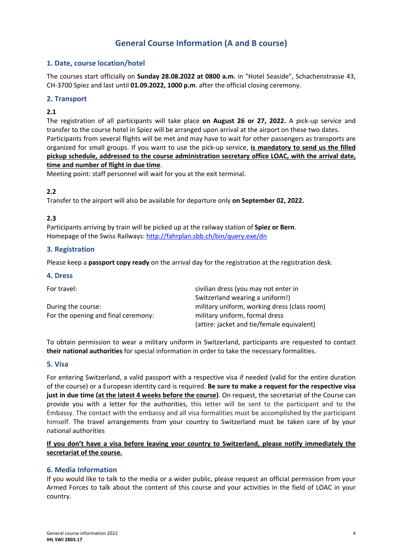# **General Course Information (A and B course)**

# **1. Date, course location/hotel**

The courses start officially on **Sunday 28.08.2022 at 0800 a.m.** in "Hotel Seaside", Schachenstrasse 43, CH-3700 Spiez and last until **01.09.2022, 1000 p.m**. after the official closing ceremony.

# **2. Transport**

# **2.1**

The registration of all participants will take place **on August 26 or 27, 2022.** A pick-up service and transfer to the course hotel in Spiez will be arranged upon arrival at the airport on these two dates. Participants from several flights will be met and may have to wait for other passengers as transports are organized for small groups. If you want to use the pick-up service, **is mandatory to send us the filled pickup schedule, addressed to the course administration secretary office LOAC, with the arrival date, time and number of flight in due time**.

Meeting point: staff personnel will wait for you at the exit terminal.

# **2.2**

Transfer to the airport will also be available for departure only **on September 02, 2022.**

#### **2.3**

Participants arriving by train will be picked up at the railway station of **Spiez or Bern**. Homepage of the Swiss Railways: http://fahrplan.sbb.ch/bin/query.exe/dn

# **3. Registration**

Please keep a **passport copy ready** on the arrival day for the registration at the registration desk.

#### **4. Dress**

| For travel:                         | civilian dress (you may not enter in         |
|-------------------------------------|----------------------------------------------|
|                                     | Switzerland wearing a uniform!)              |
| During the course:                  | military uniform, working dress (class room) |
| For the opening and final ceremony: | military uniform, formal dress               |
|                                     | (attire: jacket and tie/female equivalent)   |

To obtain permission to wear a military uniform in Switzerland, participants are requested to contact **their national authorities** for special information in order to take the necessary formalities.

#### **5. Visa**

For entering Switzerland, a valid passport with a respective visa if needed (valid for the entire duration of the course) or a European identity card is required. **Be sure to make a request for the respective visa just in due time (at the latest 4 weeks before the course)**. On request, the secretariat of the Course can provide you with a letter for the authorities, this letter will be sent to the participant and to the Embassy. The contact with the embassy and all visa formalities must be accomplished by the participant himself. The travel arrangements from your country to Switzerland must be taken care of by your national authorities

# **If you don't have a visa before leaving your country to Switzerland, please notify immediately the secretariat of the course.**

#### **6. Media Information**

If you would like to talk to the media or a wider public, please request an official permission from your Armed Forces to talk about the content of this course and your activities in the field of LOAC in your country.